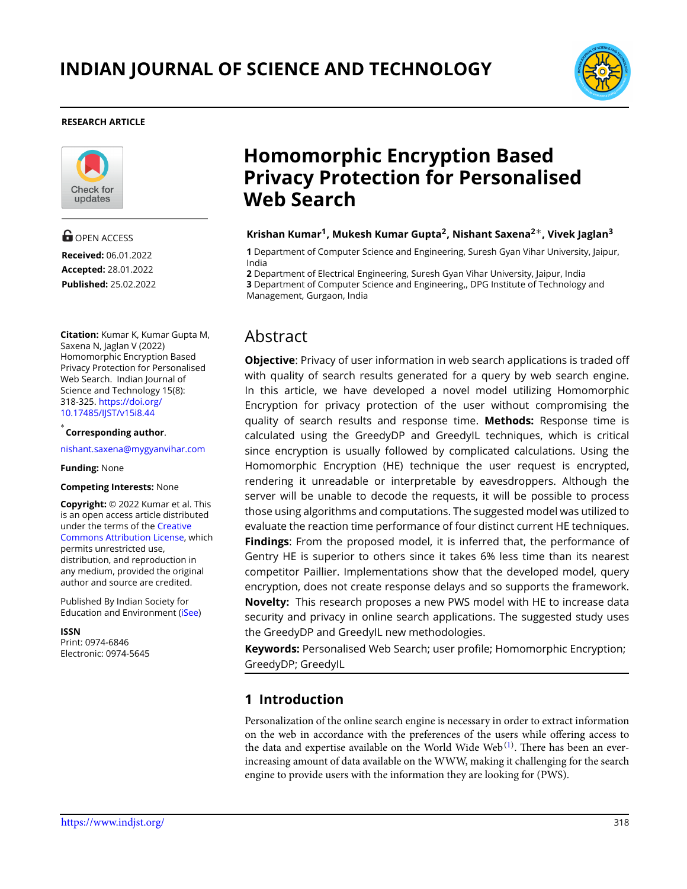

#### **RESEARCH ARTICLE**



**G** OPEN ACCESS **Received:** 06.01.2022 **Accepted:** 28.01.2022 **Published:** 25.02.2022

**Citation:** Kumar K, Kumar Gupta M, Saxena N, Jaglan V (2022) Homomorphic Encryption Based Privacy Protection for Personalised Web Search. Indian Journal of Science and Technology 15(8): 318-325. [https://doi.org/](https://doi.org/10.17485/IJST/v15i8.44) [10.17485/IJST/v15i8.44](https://doi.org/10.17485/IJST/v15i8.44)

### *∗* **Corresponding author**.

<nishant.saxena@mygyanvihar.com>

#### **Funding:** None

#### **Competing Interests:** None

**Copyright:** © 2022 Kumar et al. This is an open access article distributed under the terms of the [Creative](https://creativecommons.org/licenses/by/4.0/) [Commons Attribution License](https://creativecommons.org/licenses/by/4.0/), which permits unrestricted use, distribution, and reproduction in any medium, provided the original author and source are credited.

Published By Indian Society for Education and Environment([iSee\)](www.iseeadyar.org.)

**ISSN** Print: 0974-6846 Electronic: 0974-5645

# **Homomorphic Encryption Based Privacy Protection for Personalised Web Search**

#### **Krishan Kumar<sup>1</sup> , Mukesh Kumar Gupta<sup>2</sup> , Nishant Saxena<sup>2</sup>***∗***, Vivek Jaglan<sup>3</sup>**

**1** Department of Computer Science and Engineering, Suresh Gyan Vihar University, Jaipur, India

**2** Department of Electrical Engineering, Suresh Gyan Vihar University, Jaipur, India **3** Department of Computer Science and Engineering,, DPG Institute of Technology and Management, Gurgaon, India

# Abstract

**Objective**: Privacy of user information in web search applications is traded off with quality of search results generated for a query by web search engine. In this article, we have developed a novel model utilizing Homomorphic Encryption for privacy protection of the user without compromising the quality of search results and response time. **Methods:** Response time is calculated using the GreedyDP and GreedyIL techniques, which is critical since encryption is usually followed by complicated calculations. Using the Homomorphic Encryption (HE) technique the user request is encrypted, rendering it unreadable or interpretable by eavesdroppers. Although the server will be unable to decode the requests, it will be possible to process those using algorithms and computations. The suggested model was utilized to evaluate the reaction time performance of four distinct current HE techniques. **Findings**: From the proposed model, it is inferred that, the performance of Gentry HE is superior to others since it takes 6% less time than its nearest competitor Paillier. Implementations show that the developed model, query encryption, does not create response delays and so supports the framework. **Novelty:** This research proposes a new PWS model with HE to increase data security and privacy in online search applications. The suggested study uses the GreedyDP and GreedyIL new methodologies.

**Keywords:** Personalised Web Search; user profile; Homomorphic Encryption; GreedyDP; GreedyIL

### **1 Introduction**

Personalization of the online search engine is necessary in order to extract information on the web in accordance with the preferences of the users while offering access to the data and expertise available on the World Wide Web $^{(1)}$  $^{(1)}$  $^{(1)}$ . There has been an everincreasing amount of data available on the WWW, making it challenging for the search engine to provide users with the information they are looking for (PWS).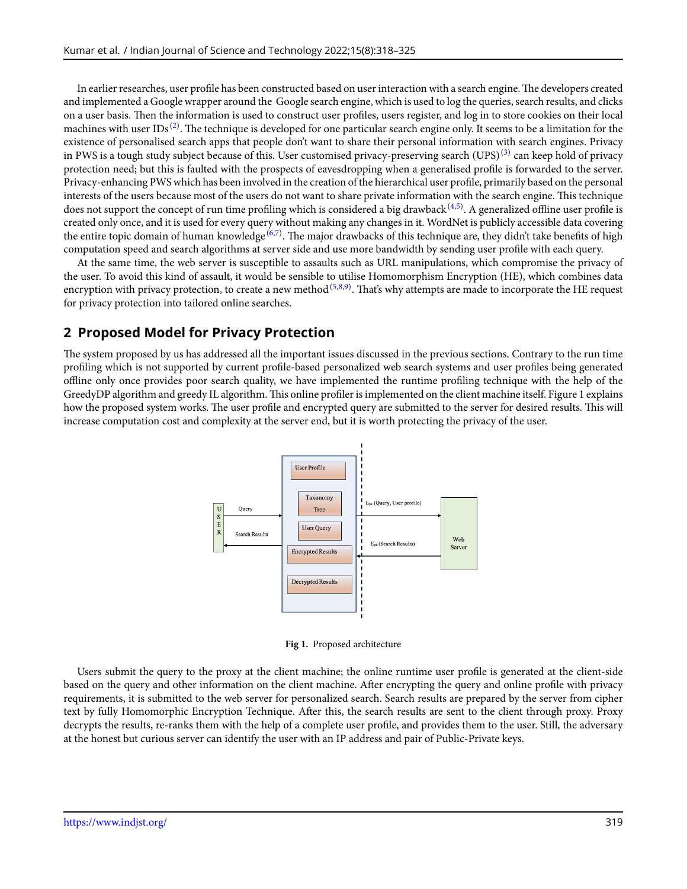In earlier researches, user profile has been constructed based on user interaction with a search engine.The developers created and implemented a Google wrapper around the Google search engine, which is used to log the queries, search results, and clicks on a user basis. Then the information is used to construct user profiles, users register, and log in to store cookies on their local machines with user IDs $^{(2)}$  $^{(2)}$  $^{(2)}$ . The technique is developed for one particular search engine only. It seems to be a limitation for the existence of personalised search apps that people don't want to share their personal information with search engines. Privacy in PWS is a tough study subject because of this. User customised privacy-preserving search (UPS)<sup>[\(3\)](#page-7-2)</sup> can keep hold of privacy protection need; but this is faulted with the prospects of eavesdropping when a generalised profile is forwarded to the server. Privacy-enhancing PWS which has been involved in the creation of the hierarchical user profile, primarily based on the personal interests of the users because most of the users do not want to share private information with the search engine. This technique does not support the concept of run time profiling which is considered a big drawback  $^{(4,5)}$  $^{(4,5)}$  $^{(4,5)}$  $^{(4,5)}$  $^{(4,5)}$ . A generalized offline user profile is created only once, and it is used for every query without making any changes in it. WordNet is publicly accessible data covering the entire topic domain of human knowledge<sup>[\(6,](#page-7-5)[7\)](#page-7-6)</sup>. The major drawbacks of this technique are, they didn't take benefits of high computation speed and search algorithms at server side and use more bandwidth by sending user profile with each query.

At the same time, the web server is susceptible to assaults such as URL manipulations, which compromise the privacy of the user. To avoid this kind of assault, it would be sensible to utilise Homomorphism Encryption (HE), which combines data encryption with privacy protection, to create a new method <sup>([5](#page-7-4),[8](#page-7-7)[,9\)](#page-7-8)</sup>. That's why attempts are made to incorporate the HE request for privacy protection into tailored online searches.

# **2 Proposed Model for Privacy Protection**

The system proposed by us has addressed all the important issues discussed in the previous sections. Contrary to the run time profiling which is not supported by current profile-based personalized web search systems and user profiles being generated offline only once provides poor search quality, we have implemented the runtime profiling technique with the help of the GreedyDP algorithm and greedy IL algorithm.This online profiler is implemented on the client machine itself. Figure 1 explains how the proposed system works. The user profile and encrypted query are submitted to the server for desired results. This will increase computation cost and complexity at the server end, but it is worth protecting the privacy of the user.



**Fig 1.** Proposed architecture

Users submit the query to the proxy at the client machine; the online runtime user profile is generated at the client-side based on the query and other information on the client machine. After encrypting the query and online profile with privacy requirements, it is submitted to the web server for personalized search. Search results are prepared by the server from cipher text by fully Homomorphic Encryption Technique. After this, the search results are sent to the client through proxy. Proxy decrypts the results, re-ranks them with the help of a complete user profile, and provides them to the user. Still, the adversary at the honest but curious server can identify the user with an IP address and pair of Public-Private keys.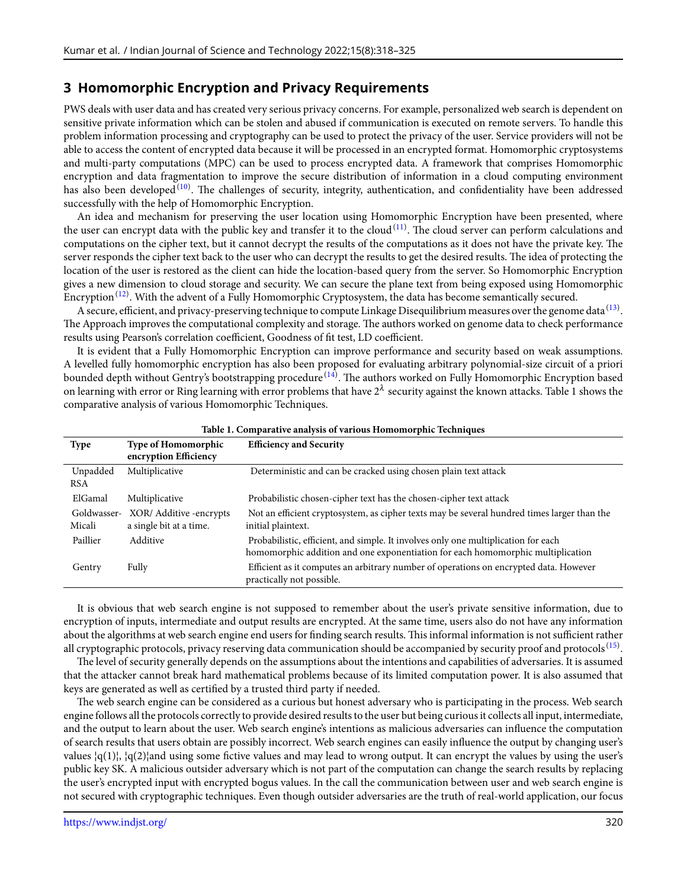# **3 Homomorphic Encryption and Privacy Requirements**

PWS deals with user data and has created very serious privacy concerns. For example, personalized web search is dependent on sensitive private information which can be stolen and abused if communication is executed on remote servers. To handle this problem information processing and cryptography can be used to protect the privacy of the user. Service providers will not be able to access the content of encrypted data because it will be processed in an encrypted format. Homomorphic cryptosystems and multi-party computations (MPC) can be used to process encrypted data. A framework that comprises Homomorphic encryption and data fragmentation to improve the secure distribution of information in a cloud computing environment has also been developed<sup>[\(10](#page-7-9))</sup>. The challenges of security, integrity, authentication, and confidentiality have been addressed successfully with the help of Homomorphic Encryption.

An idea and mechanism for preserving the user location using Homomorphic Encryption have been presented, where the user can encrypt data with the public key and transfer it to the cloud $^{(11)}$  $^{(11)}$  $^{(11)}$ . The cloud server can perform calculations and computations on the cipher text, but it cannot decrypt the results of the computations as it does not have the private key. The server responds the cipher text back to the user who can decrypt the results to get the desired results. The idea of protecting the location of the user is restored as the client can hide the location-based query from the server. So Homomorphic Encryption gives a new dimension to cloud storage and security. We can secure the plane text from being exposed using Homomorphic Encryption $^{(12)}$  $^{(12)}$  $^{(12)}$ . With the advent of a Fully Homomorphic Cryptosystem, the data has become semantically secured.

A secure, efficient, and privacy-preserving technique to compute Linkage Disequilibrium measures over the genome data  $^{(13)}$  $^{(13)}$  $^{(13)}$ . The Approach improves the computational complexity and storage. The authors worked on genome data to check performance results using Pearson's correlation coefficient, Goodness of fit test, LD coefficient.

It is evident that a Fully Homomorphic Encryption can improve performance and security based on weak assumptions. A levelled fully homomorphic encryption has also been proposed for evaluating arbitrary polynomial-size circuit of a priori bounded depth without Gentry's bootstrapping procedure<sup>[\(14](#page-7-13))</sup>. The authors worked on Fully Homomorphic Encryption based on learning with error or Ring learning with error problems that have  $2^\lambda$  security against the known attacks. Table 1 shows the comparative analysis of various Homomorphic Techniques.

| Tuble 11 Comparative analysis of various riomomorphic recumques |                                                     |                                                                                                                                                                       |  |
|-----------------------------------------------------------------|-----------------------------------------------------|-----------------------------------------------------------------------------------------------------------------------------------------------------------------------|--|
| <b>Type</b>                                                     | <b>Type of Homomorphic</b><br>encryption Efficiency | <b>Efficiency and Security</b>                                                                                                                                        |  |
| Unpadded<br><b>RSA</b>                                          | Multiplicative                                      | Deterministic and can be cracked using chosen plain text attack                                                                                                       |  |
| ElGamal                                                         | Multiplicative                                      | Probabilistic chosen-cipher text has the chosen-cipher text attack                                                                                                    |  |
| Goldwasser-<br>Micali                                           | XOR/ Additive -encrypts<br>a single bit at a time.  | Not an efficient cryptosystem, as cipher texts may be several hundred times larger than the<br>initial plaintext.                                                     |  |
| Paillier                                                        | Additive                                            | Probabilistic, efficient, and simple. It involves only one multiplication for each<br>homomorphic addition and one exponentiation for each homomorphic multiplication |  |
| Gentry                                                          | Fully                                               | Efficient as it computes an arbitrary number of operations on encrypted data. However<br>practically not possible.                                                    |  |

**Table 1. Comparative analysis of various Homomorphic Techniques**

It is obvious that web search engine is not supposed to remember about the user's private sensitive information, due to encryption of inputs, intermediate and output results are encrypted. At the same time, users also do not have any information about the algorithms at web search engine end users for finding search results. This informal information is not sufficient rather all cryptographic protocols, privacy reserving data communication should be accompanied by security proof and protocols  $^{\rm (15)}.$  $^{\rm (15)}.$  $^{\rm (15)}.$ 

The level of security generally depends on the assumptions about the intentions and capabilities of adversaries. It is assumed that the attacker cannot break hard mathematical problems because of its limited computation power. It is also assumed that keys are generated as well as certified by a trusted third party if needed.

The web search engine can be considered as a curious but honest adversary who is participating in the process. Web search engine follows all the protocols correctly to provide desired results to the user but being curious it collects all input, intermediate, and the output to learn about the user. Web search engine's intentions as malicious adversaries can influence the computation of search results that users obtain are possibly incorrect. Web search engines can easily influence the output by changing user's values  $|q(1)|$ ,  $|q(2)|$ and using some fictive values and may lead to wrong output. It can encrypt the values by using the user's public key SK. A malicious outsider adversary which is not part of the computation can change the search results by replacing the user's encrypted input with encrypted bogus values. In the call the communication between user and web search engine is not secured with cryptographic techniques. Even though outsider adversaries are the truth of real-world application, our focus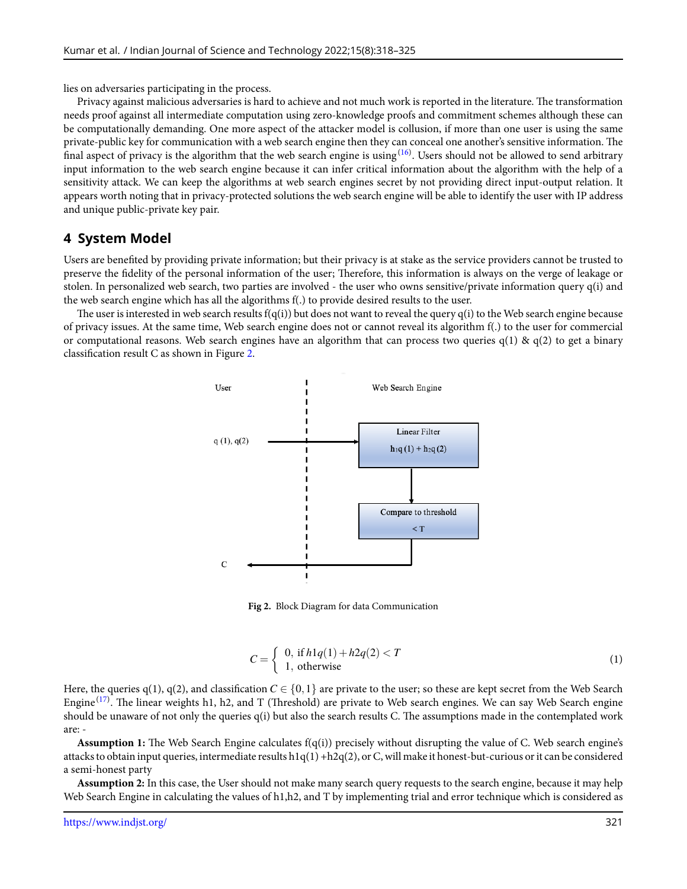lies on adversaries participating in the process.

Privacy against malicious adversaries is hard to achieve and not much work is reported in the literature. The transformation needs proof against all intermediate computation using zero-knowledge proofs and commitment schemes although these can be computationally demanding. One more aspect of the attacker model is collusion, if more than one user is using the same private-public key for communication with a web search engine then they can conceal one another's sensitive information. The final aspect of privacy is the algorithm that the web search engine is using  $^{(16)}$  $^{(16)}$  $^{(16)}$ . Users should not be allowed to send arbitrary input information to the web search engine because it can infer critical information about the algorithm with the help of a sensitivity attack. We can keep the algorithms at web search engines secret by not providing direct input-output relation. It appears worth noting that in privacy-protected solutions the web search engine will be able to identify the user with IP address and unique public-private key pair.

#### **4 System Model**

Users are benefited by providing private information; but their privacy is at stake as the service providers cannot be trusted to preserve the fidelity of the personal information of the user; Therefore, this information is always on the verge of leakage or stolen. In personalized web search, two parties are involved - the user who owns sensitive/private information query q(i) and the web search engine which has all the algorithms f(.) to provide desired results to the user.

<span id="page-3-0"></span>The user is interested in web search results  $f(q(i))$  but does not want to reveal the query  $q(i)$  to the Web search engine because of privacy issues. At the same time, Web search engine does not or cannot reveal its algorithm f(.) to the user for commercial or computational reasons. Web search engines have an algorithm that can process two queries  $q(1) \& q(2)$  to get a binary classification result C as shown in Figure [2.](#page-3-0)



**Fig 2.** Block Diagram for data Communication

$$
C = \begin{cases} 0, & \text{if } h1q(1) + h2q(2) < T \\ 1, & \text{otherwise} \end{cases} \tag{1}
$$

Here, the queries q(1), q(2), and classification  $C \in \{0,1\}$  are private to the user; so these are kept secret from the Web Search Engine<sup>[\(17](#page-7-16))</sup>. The linear weights h1, h2, and T (Threshold) are private to Web search engines. We can say Web Search engine should be unaware of not only the queries q(i) but also the search results C. The assumptions made in the contemplated work are: -

**Assumption 1:** The Web Search Engine calculates f(q(i)) precisely without disrupting the value of C. Web search engine's attacks to obtain input queries, intermediate results h1q(1) +h2q(2), or C, will make it honest-but-curious or it can be considered a semi-honest party

**Assumption 2:** In this case, the User should not make many search query requests to the search engine, because it may help Web Search Engine in calculating the values of h1,h2, and T by implementing trial and error technique which is considered as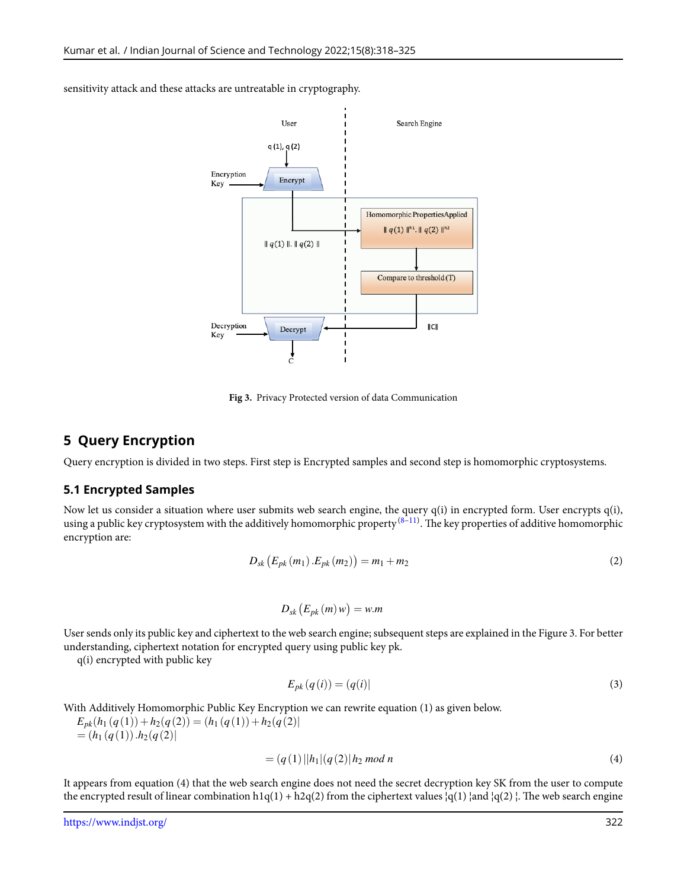

sensitivity attack and these attacks are untreatable in cryptography.

**Fig 3.** Privacy Protected version of data Communication

#### **5 Query Encryption**

Query encryption is divided in two steps. First step is Encrypted samples and second step is homomorphic cryptosystems.

#### **5.1 Encrypted Samples**

Now let us consider a situation where user submits web search engine, the query q(i) in encrypted form. User encrypts q(i), using a public key cryptosystem with the additively homomorphic property  $^{(8-11)}$  $^{(8-11)}$  $^{(8-11)}$  . The key properties of additive homomorphic encryption are:

$$
D_{sk} (E_{pk}(m_1) . E_{pk}(m_2)) = m_1 + m_2
$$
 (2)

$$
D_{sk}\left(E_{pk}\left(m\right)w\right)=w.m
$$

User sends only its public key and ciphertext to the web search engine; subsequent steps are explained in the Figure 3. For better understanding, ciphertext notation for encrypted query using public key pk.

q(i) encrypted with public key

$$
E_{pk}(q(i)) = (q(i))
$$
\n<sup>(3)</sup>

With Additively Homomorphic Public Key Encryption we can rewrite equation (1) as given below.

 $E_{pk}(h_1(q(1)) + h_2(q(2)) = (h_1(q(1)) + h_2(q(2))$  $= (h_1(q(1)) \cdot h_2(q(2))$ 

$$
= (q(1)||h1|(q(2)||h2 mod n \t\t(4)
$$

It appears from equation (4) that the web search engine does not need the secret decryption key SK from the user to compute the encrypted result of linear combination h1q(1) + h2q(2) from the ciphertext values  $|q(1)|$  and  $|q(2)|$ . The web search engine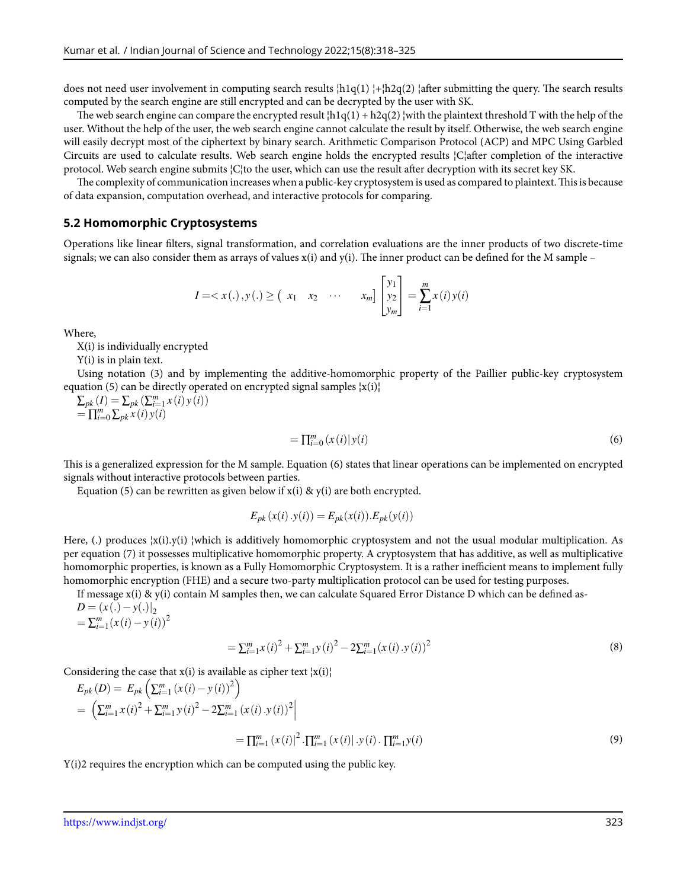does not need user involvement in computing search results  $\vert h \vert q(1) \vert + \vert h \vert q(2) \vert$  after submitting the query. The search results computed by the search engine are still encrypted and can be decrypted by the user with SK.

The web search engine can compare the encrypted result  $\vert h_1q(1) + h_2q(2) \vert$  with the plaintext threshold T with the help of the user. Without the help of the user, the web search engine cannot calculate the result by itself. Otherwise, the web search engine will easily decrypt most of the ciphertext by binary search. Arithmetic Comparison Protocol (ACP) and MPC Using Garbled Circuits are used to calculate results. Web search engine holds the encrypted results ¦C¦after completion of the interactive protocol. Web search engine submits ¦C¦to the user, which can use the result after decryption with its secret key SK.

The complexity of communication increases when a public-key cryptosystem is used as compared to plaintext.This is because of data expansion, computation overhead, and interactive protocols for comparing.

#### **5.2 Homomorphic Cryptosystems**

Operations like linear filters, signal transformation, and correlation evaluations are the inner products of two discrete-time signals; we can also consider them as arrays of values  $x(i)$  and  $y(i)$ . The inner product can be defined for the M sample –

$$
I = \langle x(.), y(.) \rangle \geq \begin{pmatrix} x_1 & x_2 & \cdots & x_m \end{pmatrix} \begin{bmatrix} y_1 \\ y_2 \\ y_m \end{bmatrix} = \sum_{i=1}^m x(i) y(i)
$$

Where,

X(i) is individually encrypted

Y(i) is in plain text.

Using notation (3) and by implementing the additive-homomorphic property of the Paillier public-key cryptosystem equation (5) can be directly operated on encrypted signal samples  $|x(i)|$ 

 $\sum_{pk} (I) = \sum_{pk} (\sum_{i=1}^{m} x(i) y(i))$  $=\prod_{i=0}^{m} \sum_{pk} x(i) y(i)$ 

$$
=\prod_{i=0}^{m} (x(i)|y(i)
$$
\n<sup>(6)</sup>

This is a generalized expression for the M sample. Equation (6) states that linear operations can be implemented on encrypted signals without interactive protocols between parties.

Equation (5) can be rewritten as given below if  $x(i)$  &  $y(i)$  are both encrypted.

$$
E_{pk}(x(i).y(i)) = E_{pk}(x(i)).E_{pk}(y(i))
$$

Here, (.) produces  $|x(i),y(i)|$  which is additively homomorphic cryptosystem and not the usual modular multiplication. As per equation (7) it possesses multiplicative homomorphic property. A cryptosystem that has additive, as well as multiplicative homomorphic properties, is known as a Fully Homomorphic Cryptosystem. It is a rather inefficient means to implement fully homomorphic encryption (FHE) and a secure two-party multiplication protocol can be used for testing purposes.

If message  $x(i)$  &  $y(i)$  contain M samples then, we can calculate Squared Error Distance D which can be defined as-

*D* = (*x* (*.*)*−y*(*.*)*|* 2  $=\sum_{i=1}^{m}(x(i)-y(i))^{2}$ 

$$
= \sum_{i=1}^{m} x(i)^{2} + \sum_{i=1}^{m} y(i)^{2} - 2\sum_{i=1}^{m} (x(i) \cdot y(i))^{2}
$$
\n(8)

Considering the case that  $x(i)$  is available as cipher text  $|x(i)|$ 

$$
E_{pk}(D) = E_{pk} \left( \sum_{i=1}^{m} (x(i) - y(i))^2 \right)
$$
  
=  $\left( \sum_{i=1}^{m} x(i)^2 + \sum_{i=1}^{m} y(i)^2 - 2\sum_{i=1}^{m} (x(i) \cdot y(i))^2 \right)$   
=  $\prod_{i=1}^{m} (x(i)|^2 \cdot \prod_{i=1}^{m} (x(i) \cdot y(i) \cdot \prod_{i=1}^{m} y(i)$  (9)

Y(i)2 requires the encryption which can be computed using the public key.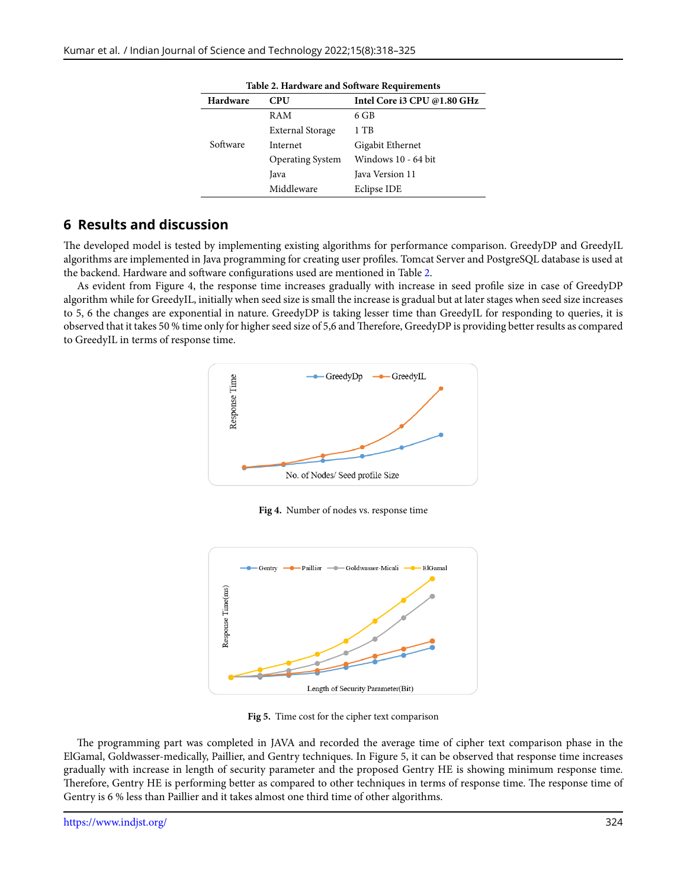<span id="page-6-0"></span>

| Hardware | <b>CPU</b>              | Intel Core i3 CPU @1.80 GHz |
|----------|-------------------------|-----------------------------|
|          | RAM                     | 6 GB                        |
|          | <b>External Storage</b> | 1 TB                        |
| Software | Internet                | Gigabit Ethernet            |
|          | <b>Operating System</b> | Windows 10 - 64 bit         |
|          | Java                    | Java Version 11             |
|          | Middleware              | Eclipse IDE                 |

**Table 2. Hardware and Software Requirements**

# **6 Results and discussion**

The developed model is tested by implementing existing algorithms for performance comparison. GreedyDP and GreedyIL algorithms are implemented in Java programming for creating user profiles. Tomcat Server and PostgreSQL database is used at the backend. Hardware and software configurations used are mentioned in Table [2](#page-6-0).

As evident from Figure 4, the response time increases gradually with increase in seed profile size in case of GreedyDP algorithm while for GreedyIL, initially when seed size is small the increase is gradual but at later stages when seed size increases to 5, 6 the changes are exponential in nature. GreedyDP is taking lesser time than GreedyIL for responding to queries, it is observed that it takes 50 % time only for higher seed size of 5,6 and Therefore, GreedyDP is providing better results as compared to GreedyIL in terms of response time.



**Fig 4.** Number of nodes vs. response time



**Fig 5.** Time cost for the cipher text comparison

The programming part was completed in JAVA and recorded the average time of cipher text comparison phase in the ElGamal, Goldwasser-medically, Paillier, and Gentry techniques. In Figure 5, it can be observed that response time increases gradually with increase in length of security parameter and the proposed Gentry HE is showing minimum response time. Therefore, Gentry HE is performing better as compared to other techniques in terms of response time. The response time of Gentry is 6 % less than Paillier and it takes almost one third time of other algorithms.